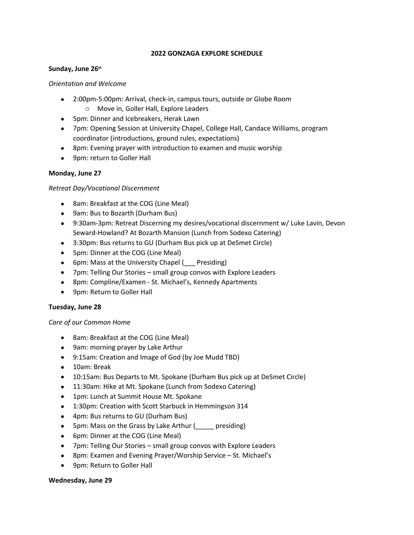## **2022 GONZAGA EXPLORE SCHEDULE**

#### **Sunday, June 26th**

#### *Orientation and Welcome*

- 2:00pm-5:00pm: Arrival, check-in, campus tours, outside or Globe Room
	- o Move in, Goller Hall, Explore Leaders
- 5pm: Dinner and Icebreakers, Herak Lawn
- 7pm: Opening Session at University Chapel, College Hall, Candace Williams, program coordinator (introductions, ground rules, expectations)
- 8pm: Evening prayer with introduction to examen and music worship
- 9pm: return to Goller Hall

## **Monday, June 27**

## *Retreat Day/Vocational Discernment*

- 8am: Breakfast at the COG (Line Meal)
- 9am: Bus to Bozarth (Durham Bus)
- 9:30am-3pm: Retreat Discerning my desires/vocational discernment w/ Luke Lavin, Devon Seward-Howland? At Bozarth Mansion (Lunch from Sodexo Catering)
- 3:30pm: Bus returns to GU (Durham Bus pick up at DeSmet Circle)
- 5pm: Dinner at the COG (Line Meal)
- 6pm: Mass at the University Chapel (Figure Presiding)
- 7pm: Telling Our Stories small group convos with Explore Leaders
- 8pm: Compline/Examen St. Michael's, Kennedy Apartments
- 9pm: Return to Goller Hall

## **Tuesday, June 28**

#### *Care of our Common Home*

- 8am: Breakfast at the COG (Line Meal)
- 9am: morning prayer by Lake Arthur
- 9:15am: Creation and Image of God (by Joe Mudd TBD)
- 10am: Break
- 10:15am: Bus Departs to Mt. Spokane (Durham Bus pick up at DeSmet Circle)
- 11:30am: Hike at Mt. Spokane (Lunch from Sodexo Catering)
- 1pm: Lunch at Summit House Mt. Spokane
- 1:30pm: Creation with Scott Starbuck in Hemmingson 314
- 4pm: Bus returns to GU (Durham Bus)
- 5pm: Mass on the Grass by Lake Arthur ( presiding)
- 6pm: Dinner at the COG (Line Meal)
- 7pm: Telling Our Stories small group convos with Explore Leaders
- 8pm: Examen and Evening Prayer/Worship Service St. Michael's
- 9pm: Return to Goller Hall

#### **Wednesday, June 29**